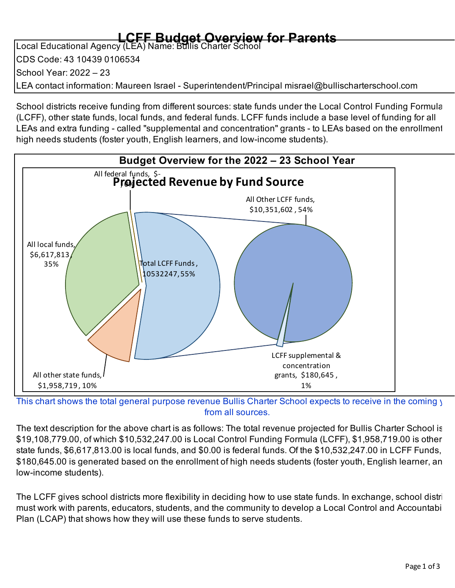## **LCFF Budget Overview for Parents** Local Educational Agency (LEA) Name: Bullis Charter School

CDS Code: 43 10439 0106534 School Year: 2022 – 23 LEA contact information: Maureen Israel - Superintendent/Principal misrael@bullischarterschool.com

School districts receive funding from different sources: state funds under the Local Control Funding Formula (LCFF), other state funds, local funds, and federal funds. LCFF funds include a base level of funding for all LEAs and extra funding - called "supplemental and concentration" grants - to LEAs based on the enrollment high needs students (foster youth, English learners, and low-income students).



This chart shows the total general purpose revenue Bullis Charter School expects to receive in the coming y from all sources.

The text description for the above chart is as follows: The total revenue projected for Bullis Charter School is \$19,108,779.00, of which \$10,532,247.00 is Local Control Funding Formula (LCFF), \$1,958,719.00 is other state funds, \$6,617,813.00 is local funds, and \$0.00 is federal funds. Of the \$10,532,247.00 in LCFF Funds, \$180,645.00 is generated based on the enrollment of high needs students (foster youth, English learner, an low-income students).

The LCFF gives school districts more flexibility in deciding how to use state funds. In exchange, school distri must work with parents, educators, students, and the community to develop a Local Control and Accountabi Plan (LCAP) that shows how they will use these funds to serve students.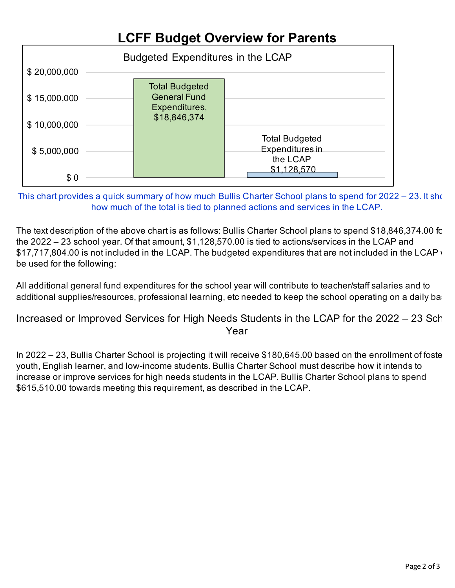## **LCFF Budget Overview for Parents**



This chart provides a quick summary of how much Bullis Charter School plans to spend for 2022 – 23. It show how much of the total is tied to planned actions and services in the LCAP.

The text description of the above chart is as follows: Bullis Charter School plans to spend \$18,846,374.00 for the 2022 – 23 school year. Of that amount, \$1,128,570.00 is tied to actions/services in the LCAP and \$17,717,804.00 is not included in the LCAP. The budgeted expenditures that are not included in the LCAP will be used for the following:

All additional general fund expenditures for the school year will contribute to teacher/staff salaries and to additional supplies/resources, professional learning, etc needed to keep the school operating on a daily basi

Increased or Improved Services for High Needs Students in the LCAP for the 2022 – 23 Sch Year

In 2022 – 23, Bullis Charter School is projecting it will receive \$180,645.00 based on the enrollment of foste youth, English learner, and low-income students. Bullis Charter School must describe how it intends to increase or improve services for high needs students in the LCAP. Bullis Charter School plans to spend \$615,510.00 towards meeting this requirement, as described in the LCAP.